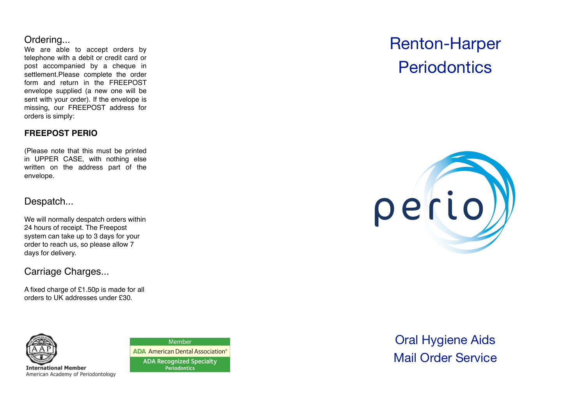## Ordering...

We are able to accept orders by telephone with a debit or credit card or post accompanied by a cheque in settlement.Please complete the order form and return in the FREEPOST envelope supplied (a new one will be sent with your order). If the envelope is missing, our FREEPOST address for orders is simply:

#### **FREEPOST PERIO**

(Please note that this must be printed in UPPER CASE, with nothing else written on the address part of the envelope.

## Despatch...

We will normally despatch orders within 24 hours of receipt. The Freepost system can take up to 3 days for your order to reach us, so please allow 7 days for delivery.

## Carriage Charges...

A fixed charge of £1.50p is made for all orders to UK addresses under £30.



**International Member** American Academy of Periodontology

Member **ADA** American Dental Association® **ADA Recognized Specialty** Periodontics

# Renton-Harper **Periodontics**



Oral Hygiene Aids Mail Order Service